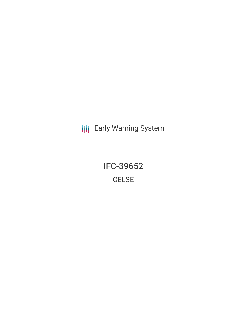**III** Early Warning System

IFC-39652 **CELSE**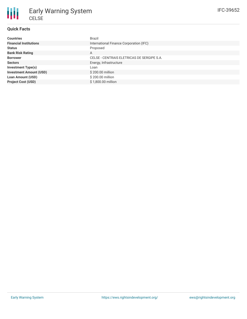

## **Quick Facts**

| <b>Countries</b>               | <b>Brazil</b>                              |
|--------------------------------|--------------------------------------------|
| <b>Financial Institutions</b>  | International Finance Corporation (IFC)    |
| <b>Status</b>                  | Proposed                                   |
| <b>Bank Risk Rating</b>        | A                                          |
| <b>Borrower</b>                | CELSE - CENTRAIS ELETRICAS DE SERGIPE S.A. |
| <b>Sectors</b>                 | Energy, Infrastructure                     |
| <b>Investment Type(s)</b>      | Loan                                       |
| <b>Investment Amount (USD)</b> | \$200.00 million                           |
| <b>Loan Amount (USD)</b>       | \$200.00 million                           |
| <b>Project Cost (USD)</b>      | \$1,800,00 million                         |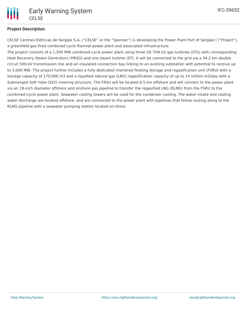

## **Project Description**

CELSE Centrais Elétricas de Sergipe S.A. ("CELSE" or the "Sponsor") is developing the Power Plant Port of Sergipe I ("Project"), a greenfield gas-fired combined cycle thermal power plant and associated infrastructure.

The project consists of a 1,500 MW combined-cycle power plant using three GE 7HA.02 gas turbines (GTs) with corresponding Heat Recovery Steam Generators (HRSG) and one steam turbine (ST). It will be connected to the grid via a 34.2 km double circuit 500-kV transmission line and air-insulated connection bay linking to an existing substation with potential to receive up to 3,000 MW. The project further includes a fully dedicated chartered floating storage and regasification unit (FSRU) with a storage capacity of 170,000 m3 and a liquefied natural gas (LNG) regasification capacity of up to 14 million m3/day with a Submerged Soft Yoke (SSY) mooring structure. The FRSU will be located 6.5 km offshore and will connect to the power plant via an 18-inch diameter offshore and onshore gas pipeline to transfer the regasified LNG (RLNG) from the FSRU to the combined-cycle power plant. Seawater cooling towers will be used for the condenser cooling. The water intake and cooling water discharge are located offshore, and are connected to the power plant with pipelines that follow routing along to the RLNG pipeline with a seawater pumping station located on-shore.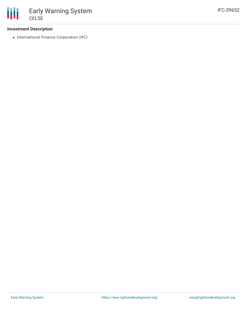

#### **Investment Description**

• International Finance Corporation (IFC)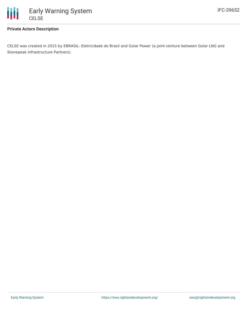

### **Private Actors Description**

CELSE was created in 2015 by EBRASIL- Eletricidade do Brasil and Golar Power (a joint-venture between Golar LNG and Stonepeak Infrastructure Partners).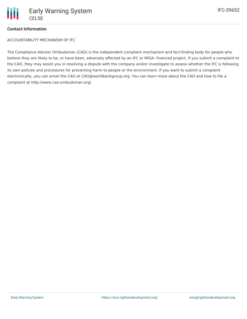

# **Contact Information**

ACCOUNTABILITY MECHANISM OF IFC

The Compliance Advisor Ombudsman (CAO) is the independent complaint mechanism and fact-finding body for people who believe they are likely to be, or have been, adversely affected by an IFC or MIGA- financed project. If you submit a complaint to the CAO, they may assist you in resolving a dispute with the company and/or investigate to assess whether the IFC is following its own policies and procedures for preventing harm to people or the environment. If you want to submit a complaint electronically, you can email the CAO at CAO@worldbankgroup.org. You can learn more about the CAO and how to file a complaint at http://www.cao-ombudsman.org/